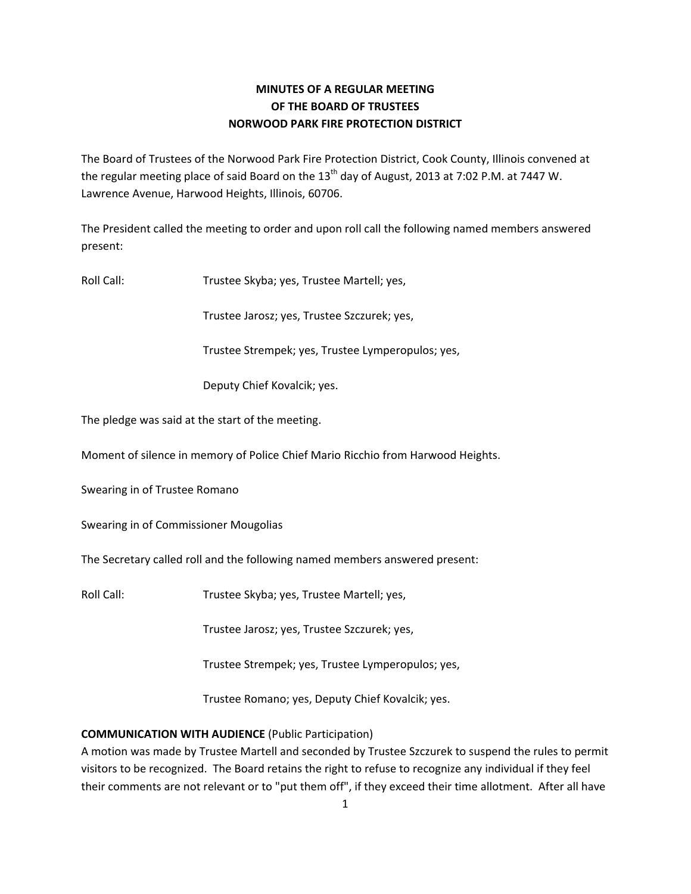# **MINUTES OF A REGULAR MEETING OF THE BOARD OF TRUSTEES NORWOOD PARK FIRE PROTECTION DISTRICT**

The Board of Trustees of the Norwood Park Fire Protection District, Cook County, Illinois convened at the regular meeting place of said Board on the  $13<sup>th</sup>$  day of August, 2013 at 7:02 P.M. at 7447 W. Lawrence Avenue, Harwood Heights, Illinois, 60706.

The President called the meeting to order and upon roll call the following named members answered present:

Roll Call: Trustee Skyba; yes, Trustee Martell; yes,

Trustee Jarosz; yes, Trustee Szczurek; yes,

Trustee Strempek; yes, Trustee Lymperopulos; yes,

Deputy Chief Kovalcik; yes.

The pledge was said at the start of the meeting.

Moment of silence in memory of Police Chief Mario Ricchio from Harwood Heights.

Swearing in of Trustee Romano

Swearing in of Commissioner Mougolias

The Secretary called roll and the following named members answered present:

Roll Call: Trustee Skyba; yes, Trustee Martell; yes,

Trustee Jarosz; yes, Trustee Szczurek; yes,

Trustee Strempek; yes, Trustee Lymperopulos; yes,

Trustee Romano; yes, Deputy Chief Kovalcik; yes.

### **COMMUNICATION WITH AUDIENCE** (Public Participation)

A motion was made by Trustee Martell and seconded by Trustee Szczurek to suspend the rules to permit visitors to be recognized. The Board retains the right to refuse to recognize any individual if they feel their comments are not relevant or to "put them off", if they exceed their time allotment. After all have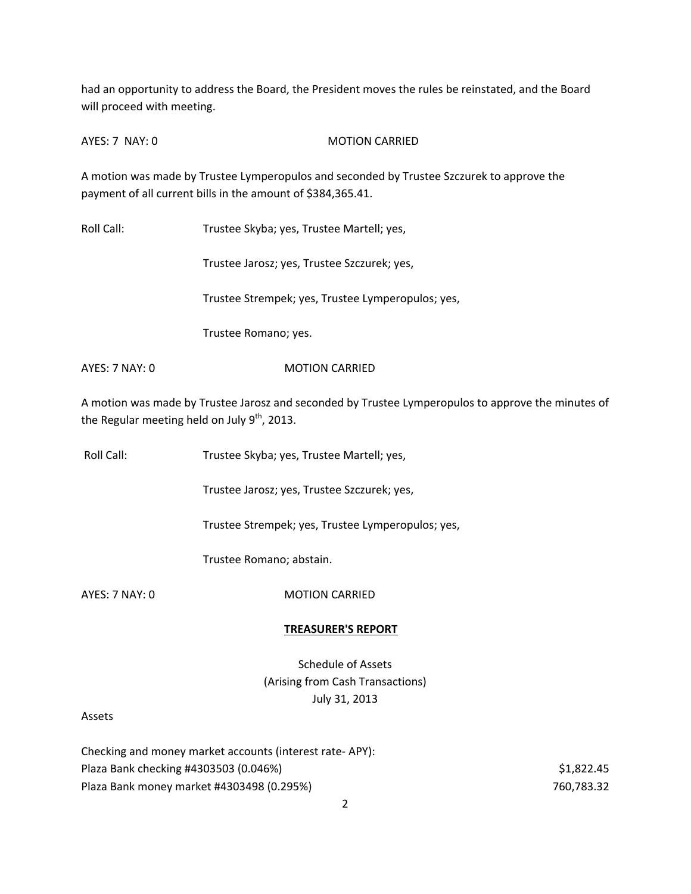had an opportunity to address the Board, the President moves the rules be reinstated, and the Board will proceed with meeting.

AYES: 7 NAY: 0 MOTION CARRIED

A motion was made by Trustee Lymperopulos and seconded by Trustee Szczurek to approve the payment of all current bills in the amount of \$384,365.41.

Roll Call: Trustee Skyba; yes, Trustee Martell; yes,

Trustee Jarosz; yes, Trustee Szczurek; yes,

Trustee Strempek; yes, Trustee Lymperopulos; yes,

Trustee Romano; yes.

AYES: 7 NAY: 0 MOTION CARRIED

A motion was made by Trustee Jarosz and seconded by Trustee Lymperopulos to approve the minutes of the Regular meeting held on July 9<sup>th</sup>, 2013.

Roll Call: Trustee Skyba; yes, Trustee Martell; yes,

Trustee Jarosz; yes, Trustee Szczurek; yes,

Trustee Strempek; yes, Trustee Lymperopulos; yes,

Trustee Romano; abstain.

AYES: 7 NAY: 0 MOTION CARRIED

## **TREASURER'S REPORT**

Schedule of Assets (Arising from Cash Transactions) July 31, 2013

### Assets

| Checking and money market accounts (interest rate-APY): |            |
|---------------------------------------------------------|------------|
| Plaza Bank checking #4303503 (0.046%)                   | \$1,822.45 |
| Plaza Bank money market #4303498 (0.295%)               | 760.783.32 |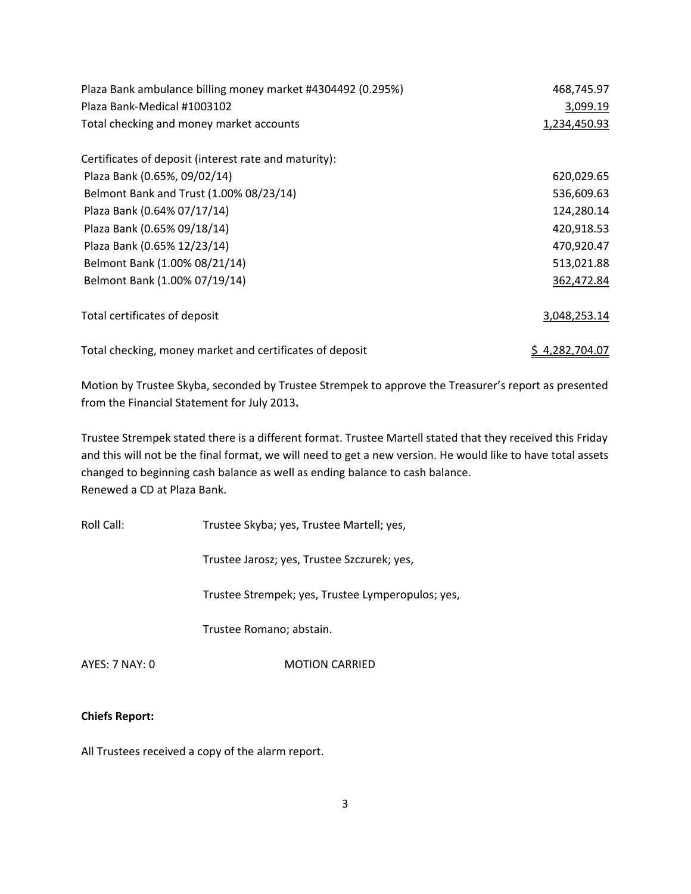| Plaza Bank ambulance billing money market #4304492 (0.295%) | 468,745.97   |
|-------------------------------------------------------------|--------------|
| Plaza Bank-Medical #1003102                                 | 3,099.19     |
| Total checking and money market accounts                    | 1,234,450.93 |
| Certificates of deposit (interest rate and maturity):       |              |
| Plaza Bank (0.65%, 09/02/14)                                | 620,029.65   |
| Belmont Bank and Trust (1.00% 08/23/14)                     | 536,609.63   |
| Plaza Bank (0.64% 07/17/14)                                 | 124,280.14   |
| Plaza Bank (0.65% 09/18/14)                                 | 420,918.53   |
| Plaza Bank (0.65% 12/23/14)                                 | 470,920.47   |
| Belmont Bank (1.00% 08/21/14)                               | 513,021.88   |
| Belmont Bank (1.00% 07/19/14)                               | 362,472.84   |
| Total certificates of deposit                               | 3,048,253.14 |
| Total checking, money market and certificates of deposit    | 4,282,704.07 |

Motion by Trustee Skyba, seconded by Trustee Strempek to approve the Treasurer's report as presented from the Financial Statement for July 2013**.**

Trustee Strempek stated there is a different format. Trustee Martell stated that they received this Friday and this will not be the final format, we will need to get a new version. He would like to have total assets changed to beginning cash balance as well as ending balance to cash balance. Renewed a CD at Plaza Bank.

Roll Call: Trustee Skyba; yes, Trustee Martell; yes,

Trustee Jarosz; yes, Trustee Szczurek; yes,

Trustee Strempek; yes, Trustee Lymperopulos; yes,

Trustee Romano; abstain.

AYES: 7 NAY: 0 MOTION CARRIED

## **Chiefs Report:**

All Trustees received a copy of the alarm report.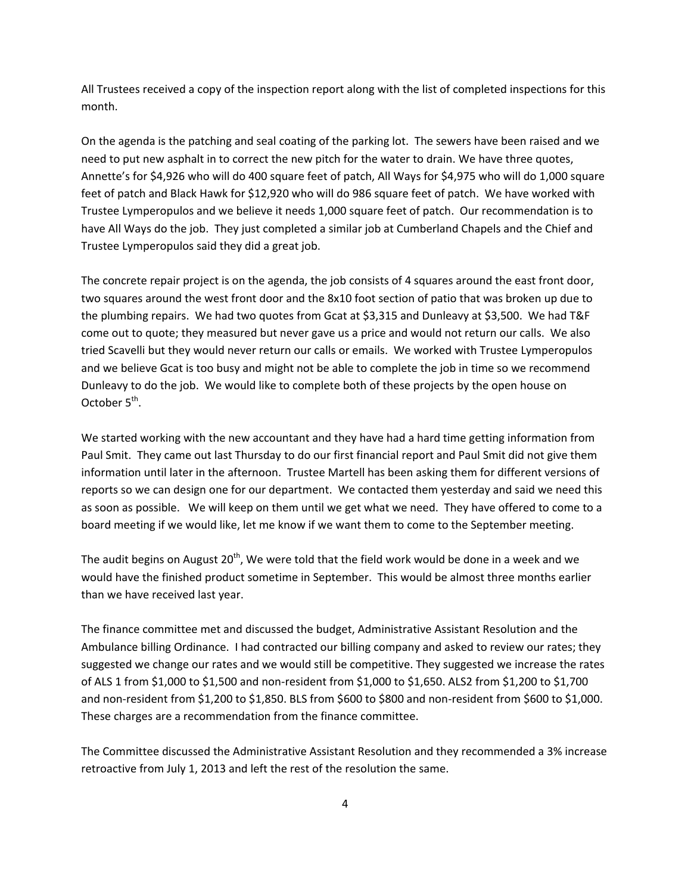All Trustees received a copy of the inspection report along with the list of completed inspections for this month.

On the agenda is the patching and seal coating of the parking lot. The sewers have been raised and we need to put new asphalt in to correct the new pitch for the water to drain. We have three quotes, Annette's for \$4,926 who will do 400 square feet of patch, All Ways for \$4,975 who will do 1,000 square feet of patch and Black Hawk for \$12,920 who will do 986 square feet of patch. We have worked with Trustee Lymperopulos and we believe it needs 1,000 square feet of patch. Our recommendation is to have All Ways do the job. They just completed a similar job at Cumberland Chapels and the Chief and Trustee Lymperopulos said they did a great job.

The concrete repair project is on the agenda, the job consists of 4 squares around the east front door, two squares around the west front door and the 8x10 foot section of patio that was broken up due to the plumbing repairs. We had two quotes from Gcat at \$3,315 and Dunleavy at \$3,500. We had T&F come out to quote; they measured but never gave us a price and would not return our calls. We also tried Scavelli but they would never return our calls or emails. We worked with Trustee Lymperopulos and we believe Gcat is too busy and might not be able to complete the job in time so we recommend Dunleavy to do the job. We would like to complete both of these projects by the open house on October 5<sup>th</sup>.

We started working with the new accountant and they have had a hard time getting information from Paul Smit. They came out last Thursday to do our first financial report and Paul Smit did not give them information until later in the afternoon. Trustee Martell has been asking them for different versions of reports so we can design one for our department. We contacted them yesterday and said we need this as soon as possible. We will keep on them until we get what we need. They have offered to come to a board meeting if we would like, let me know if we want them to come to the September meeting.

The audit begins on August 20<sup>th</sup>, We were told that the field work would be done in a week and we would have the finished product sometime in September. This would be almost three months earlier than we have received last year.

The finance committee met and discussed the budget, Administrative Assistant Resolution and the Ambulance billing Ordinance. I had contracted our billing company and asked to review our rates; they suggested we change our rates and we would still be competitive. They suggested we increase the rates of ALS 1 from \$1,000 to \$1,500 and non‐resident from \$1,000 to \$1,650. ALS2 from \$1,200 to \$1,700 and non‐resident from \$1,200 to \$1,850. BLS from \$600 to \$800 and non‐resident from \$600 to \$1,000. These charges are a recommendation from the finance committee.

The Committee discussed the Administrative Assistant Resolution and they recommended a 3% increase retroactive from July 1, 2013 and left the rest of the resolution the same.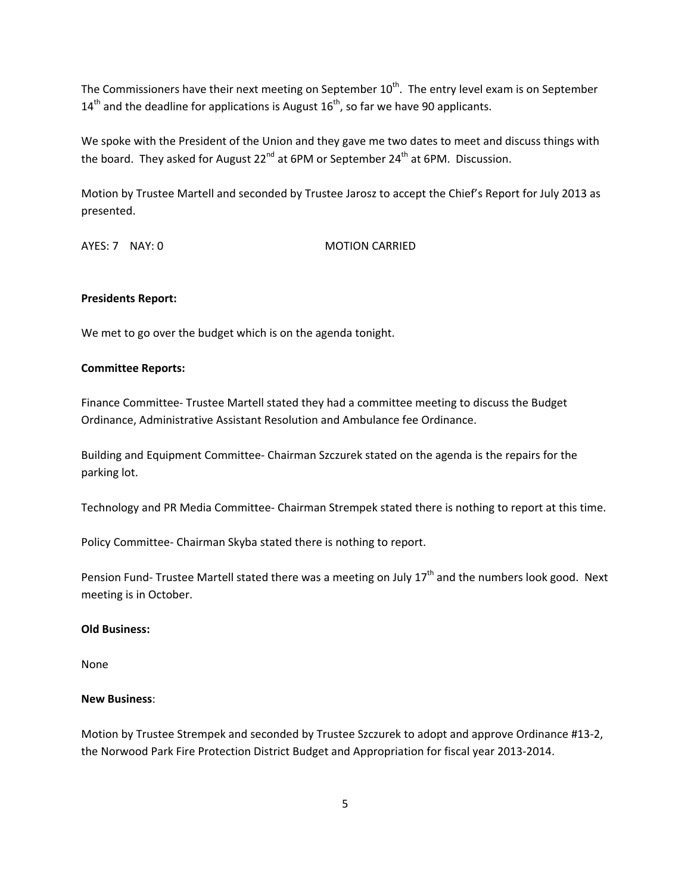The Commissioners have their next meeting on September  $10^{\text{th}}$ . The entry level exam is on September  $14<sup>th</sup>$  and the deadline for applications is August  $16<sup>th</sup>$ , so far we have 90 applicants.

We spoke with the President of the Union and they gave me two dates to meet and discuss things with the board. They asked for August 22<sup>nd</sup> at 6PM or September 24<sup>th</sup> at 6PM. Discussion.

Motion by Trustee Martell and seconded by Trustee Jarosz to accept the Chief's Report for July 2013 as presented.

AYES: 7 NAY: 0 MOTION CARRIED

### **Presidents Report:**

We met to go over the budget which is on the agenda tonight.

### **Committee Reports:**

Finance Committee‐ Trustee Martell stated they had a committee meeting to discuss the Budget Ordinance, Administrative Assistant Resolution and Ambulance fee Ordinance.

Building and Equipment Committee‐ Chairman Szczurek stated on the agenda is the repairs for the parking lot.

Technology and PR Media Committee‐ Chairman Strempek stated there is nothing to report at this time.

Policy Committee‐ Chairman Skyba stated there is nothing to report.

Pension Fund-Trustee Martell stated there was a meeting on July  $17<sup>th</sup>$  and the numbers look good. Next meeting is in October.

### **Old Business:**

None

### **New Business**:

Motion by Trustee Strempek and seconded by Trustee Szczurek to adopt and approve Ordinance #13‐2, the Norwood Park Fire Protection District Budget and Appropriation for fiscal year 2013‐2014.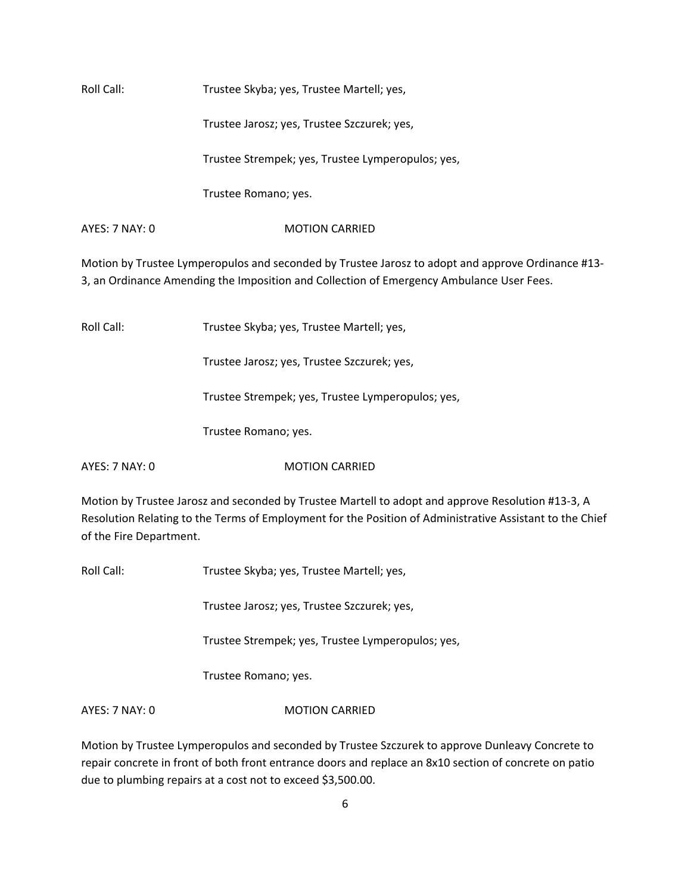Roll Call: Trustee Skyba; yes, Trustee Martell; yes,

Trustee Jarosz; yes, Trustee Szczurek; yes,

Trustee Strempek; yes, Trustee Lymperopulos; yes,

Trustee Romano; yes.

AYES: 7 NAY: 0 MOTION CARRIED

Motion by Trustee Lymperopulos and seconded by Trustee Jarosz to adopt and approve Ordinance #13‐ 3, an Ordinance Amending the Imposition and Collection of Emergency Ambulance User Fees.

Roll Call: Trustee Skyba; yes, Trustee Martell; yes,

Trustee Jarosz; yes, Trustee Szczurek; yes,

Trustee Strempek; yes, Trustee Lymperopulos; yes,

Trustee Romano; yes.

AYES: 7 NAY: 0 MOTION CARRIED

Motion by Trustee Jarosz and seconded by Trustee Martell to adopt and approve Resolution #13‐3, A Resolution Relating to the Terms of Employment for the Position of Administrative Assistant to the Chief of the Fire Department.

Roll Call: Trustee Skyba; yes, Trustee Martell; yes,

Trustee Jarosz; yes, Trustee Szczurek; yes,

Trustee Strempek; yes, Trustee Lymperopulos; yes,

Trustee Romano; yes.

AYES: 7 NAY: 0 MOTION CARRIED

Motion by Trustee Lymperopulos and seconded by Trustee Szczurek to approve Dunleavy Concrete to repair concrete in front of both front entrance doors and replace an 8x10 section of concrete on patio due to plumbing repairs at a cost not to exceed \$3,500.00.